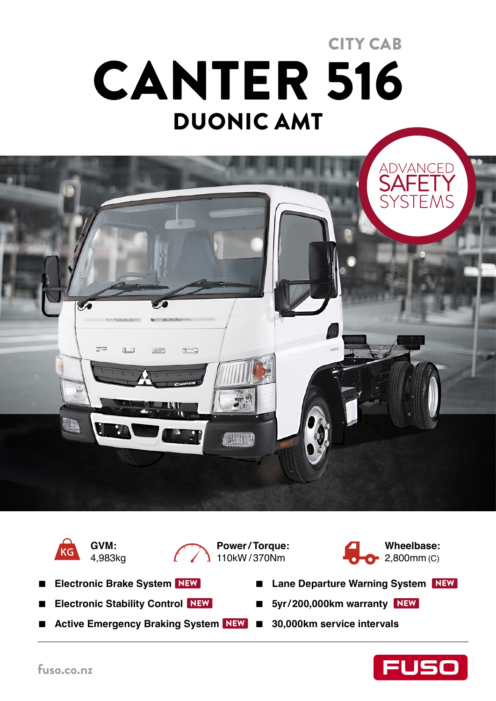# DUONIC AMT CANTER 516 CITY CAB





**GVM:**  4,983kg



**Power / Torque:**   $110$ kW / 370Nm



- **Electronic Brake System** NEW
- **Electronic Stability Control** NEW
- Active Emergency Braking System NEW 30,000km service intervals
- Lane Departure Warning System NEW
- NEW 5yr/200,000km warranty NEW
	-

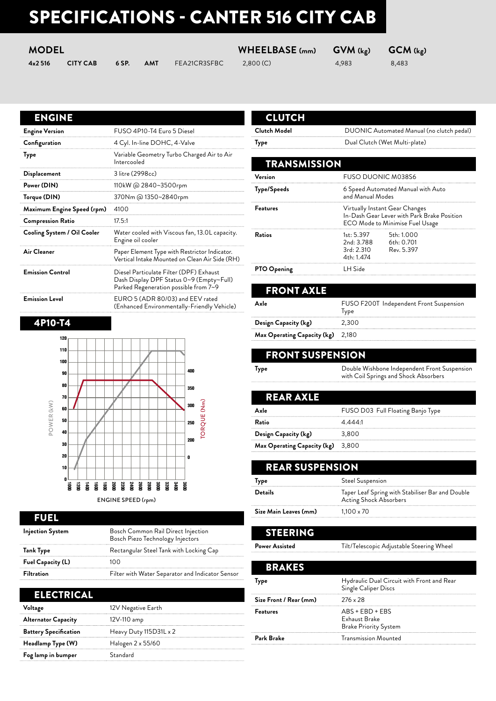# SPECIFICATIONS - CANTER 516 CITY CAB

| <b>MODEL</b> |
|--------------|
|              |

| 4x2516 | <b>CITY CA</b> |  |
|--------|----------------|--|
|        |                |  |

**43 6 SP. AMT** FEA21CR3SFBC 2,800 (C) 4,983 8,483

**MODEL WHEELBASE (mm) GVM (kg) GCM (kg)**

| <b>Engine Version</b>       | FUSO 4P10-T4 Euro 5 Diesel                                                                                                   |
|-----------------------------|------------------------------------------------------------------------------------------------------------------------------|
| Configuration               | 4 Cyl. In-line DOHC, 4-Valve                                                                                                 |
| Type                        | Variable Geometry Turbo Charged Air to Air<br>Intercooled                                                                    |
| <b>Displacement</b>         | 3 litre (2998cc)                                                                                                             |
| Power (DIN)                 | 110kW @ 2840~3500rpm                                                                                                         |
| Torque (DIN)                | 370Nm @ 1350~2840rpm                                                                                                         |
| Maximum Engine Speed (rpm)  | 4100                                                                                                                         |
| <b>Compression Ratio</b>    | 17.5:1                                                                                                                       |
| Cooling System / Oil Cooler | Water cooled with Viscous fan, 13.0L capacity.<br>Engine oil cooler                                                          |
| Air Cleaner                 | Paper Element Type with Restrictor Indicator.<br>Vertical Intake Mounted on Clean Air Side (RH)                              |
| <b>Emission Control</b>     | Diesel Particulate Filter (DPF) Exhaust<br>Dash Display DPF Status 0~9 (Empty~Full)<br>Parked Regeneration possible from 7~9 |
| <b>Emission Level</b>       | EURO 5 (ADR 80/03) and EEV rated<br>(Enhanced Environmentally-Friendly Vehicle)                                              |

#### 4P10-T4



### FUEL

| <b>Injection System</b> | Bosch Common Rail Direct Injection<br>Bosch Piezo Technology Injectors |
|-------------------------|------------------------------------------------------------------------|
| Tank Type               | Rectangular Steel Tank with Locking Cap                                |
| Fuel Capacity (L)       | 100                                                                    |
| <b>Filtration</b>       | Filter with Water Separator and Indicator Sensor                       |

| ELECTRICAL                   |                        |
|------------------------------|------------------------|
| Voltage                      | 12V Negative Earth     |
| <b>Alternator Capacity</b>   | 12V-110 amp            |
| <b>Battery Specification</b> | Heavy Duty 115D31L x 2 |
| Headlamp Type (W)            | Halogen 2 x 55/60      |
| Fog lamp in bumper           | Standard               |
|                              |                        |

# **CLUTCH**

**Clutch Model** DUONIC Automated Manual (no clutch pedal)

**Type** Dual Clutch (Wet Multi-plate)

| <b>TRANSMISSION</b> |                                                     |                                                                                                                  |
|---------------------|-----------------------------------------------------|------------------------------------------------------------------------------------------------------------------|
| Version             | <b>FUSO DUONIC M038S6</b>                           |                                                                                                                  |
| <b>Type/Speeds</b>  | and Manual Modes                                    | 6 Speed Automated Manual with Auto                                                                               |
| <b>Features</b>     |                                                     | Virtually Instant Gear Changes<br>In-Dash Gear Lever with Park Brake Position<br>ECO Mode to Minimise Fuel Usage |
| Ratios              | 1st: 5.397<br>2nd: 3.788<br>3rd: 2.310<br>4th:1.474 | 5th: 1.000<br>6th: 0.701<br>Rev. 5.397                                                                           |
| <b>PTO Opening</b>  | I H Side                                            |                                                                                                                  |

| <b>FRONT AXLE</b>                        |                                                 |
|------------------------------------------|-------------------------------------------------|
| Axle                                     | FUSO F200T Independent Front Suspension<br>Type |
| Design Capacity (kg)                     | 2.300                                           |
| <b>Max Operating Capacity (kg)</b> 2,180 |                                                 |

### FRONT SUSPENSION

**Type** Double Wishbone Independent Front Suspension with Coil Springs and Shock Absorbers

| RFAR AX                     |                                   |
|-----------------------------|-----------------------------------|
| Axle                        | FUSO D03 Full Floating Banjo Type |
| Ratio                       | 4.444.1                           |
| Design Capacity (kg)        | 3,800                             |
| Max Operating Capacity (kg) | 3,800                             |

| <b>REAR SUSPENSION</b>          |                                                                            |
|---------------------------------|----------------------------------------------------------------------------|
| <b>Steel Suspension</b><br>lype |                                                                            |
| Details                         | Taper Leaf Spring with Stabiliser Bar and Double<br>Acting Shock Absorbers |
| Size Main Leaves (mm)           | $1.100 \times 70$                                                          |
|                                 |                                                                            |

# STEERING

Power Assisted

| Tilt/Telescopic Adjustable Steering Whee |  |  |
|------------------------------------------|--|--|
|                                          |  |  |

| <b>BRAKES</b>          |                                                                    |
|------------------------|--------------------------------------------------------------------|
| <b>Type</b>            | Hydraulic Dual Circuit with Front and Rear<br>Single Caliper Discs |
| Size Front / Rear (mm) | $276 \times 28$                                                    |
| <b>Features</b>        | $ABS + EBD + EBS$<br>Exhaust Brake<br><b>Brake Priority System</b> |
| Park Brake             | <b>Transmission Mounted</b>                                        |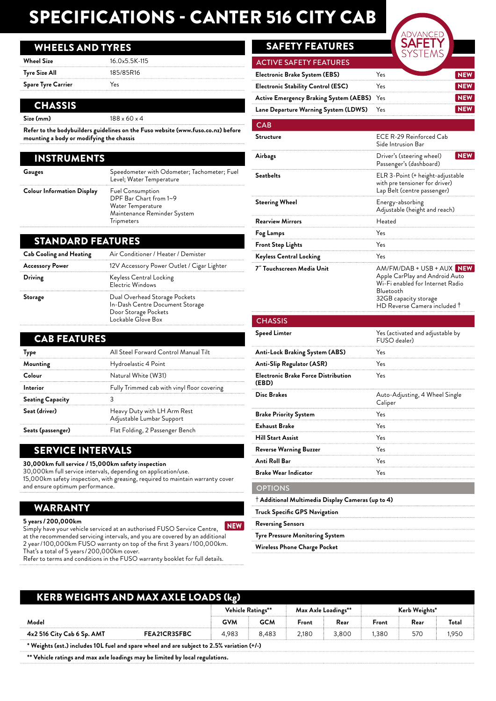# SPECIFICATIONS - CANTER 516 CITY CAB

### WHEELS AND TYRES

| Wheel Size                | $16.0x5.5K-115$ |
|---------------------------|-----------------|
| Tyre Size All             | 185/85R16       |
| <b>Spare Tyre Carrier</b> | Υρς             |

#### **CHASSIS**

**Size (mm)** 188 x 60 x 4

**Refer to the bodybuilders guidelines on the Fuso website (www.fuso.co.nz) before mounting a body or modifying the chassis**

| <b>INSTRUMENTS</b>                |                                                                                                                     |
|-----------------------------------|---------------------------------------------------------------------------------------------------------------------|
| Gauges                            | Speedometer with Odometer; Tachometer; Fuel<br>Level; Water Temperature                                             |
| <b>Colour Information Display</b> | <b>Fuel Consumption</b><br>DPF Bar Chart from 1~9<br>Water Temperature<br>Maintenance Reminder System<br>Tripmeters |

#### STANDARD FEATURES

| <b>Cab Cooling and Heating</b> | Air Conditioner / Heater / Demister                                                                            |
|--------------------------------|----------------------------------------------------------------------------------------------------------------|
| <b>Accessory Power</b>         | 12V Accessory Power Outlet / Cigar Lighter                                                                     |
| Driving                        | Keyless Central Locking<br>Electric Windows                                                                    |
| Storage                        | Dual Overhead Storage Pockets<br>In-Dash Centre Document Storage<br>Door Storage Pockets<br>Lockable Glove Box |

| <b>CAB FEATURES</b>     |                                                          |
|-------------------------|----------------------------------------------------------|
| Type                    | All Steel Forward Control Manual Tilt                    |
| Mounting                | Hydroelastic 4 Point                                     |
| Colour                  | Natural White (W31)                                      |
| Interior                | Fully Trimmed cab with vinyl floor covering              |
| <b>Seating Capacity</b> |                                                          |
| Seat (driver)           | Heavy Duty with LH Arm Rest<br>Adjustable Lumbar Support |
| Seats (passenger)       | Flat Folding, 2 Passenger Bench                          |

# SERVICE INTERVALS

**30,000km full service / 15,000km safety inspection**

30,000km full service intervals, depending on application/use. 15,000km safety inspection, with greasing, required to maintain warranty cover and ensure optimum performance.

#### WARRANTY

#### **5 years / 200,000km**

Simply have your vehicle serviced at an authorised FUSO Service Centre, NEW at the recommended servicing intervals, and you are covered by an additional 2 year / 100,000km FUSO warranty on top of the first 3 years / 100,000km. That's a total of 5 years / 200,000km cover.

Refer to terms and conditions in the FUSO warranty booklet for full details.

# **SAFETY FEATURES**

| <b>ACTIVE SAFETY FEATURES</b>              |     |  |
|--------------------------------------------|-----|--|
| <b>Electronic Brake System (EBS)</b>       | Yes |  |
| <b>Electronic Stability Control (ESC)</b>  | Yes |  |
| Active Emergency Braking System (AEBS) Yes |     |  |
| Lane Departure Warning System (LDWS)       | Yes |  |

#### CAB

| ◡่ี∼                           |                                                                                                                                                                                  |  |  |  |  |
|--------------------------------|----------------------------------------------------------------------------------------------------------------------------------------------------------------------------------|--|--|--|--|
| Structure                      | ECE R-29 Reinforced Cab<br>Side Intrusion Bar                                                                                                                                    |  |  |  |  |
| Airbags                        | <b>NEW</b><br>Driver's (steering wheel)<br>Passenger's (dashboard)                                                                                                               |  |  |  |  |
| Seatbelts                      | ELR 3-Point (+ height-adjustable<br>with pre tensioner for driver)<br>Lap Belt (centre passenger)                                                                                |  |  |  |  |
| <b>Steering Wheel</b>          | Energy-absorbing<br>Adjustable (height and reach)                                                                                                                                |  |  |  |  |
| <b>Rearview Mirrors</b>        | Heated                                                                                                                                                                           |  |  |  |  |
| Yes<br>Fog Lamps               |                                                                                                                                                                                  |  |  |  |  |
| <b>Front Step Lights</b>       | Yes                                                                                                                                                                              |  |  |  |  |
| <b>Keyless Central Locking</b> | Yes                                                                                                                                                                              |  |  |  |  |
|                                |                                                                                                                                                                                  |  |  |  |  |
| 7" Touchscreen Media Unit      | AM/FM/DAB + USB + AUX NEW<br>Apple CarPlay and Android Auto<br>Wi-Fi enabled for Internet Radio<br>Bluetooth<br>32GB capacity storage<br>HD Reverse Camera included <sup>+</sup> |  |  |  |  |

| <b>Speed Limter</b>                                        | Yes (activated and adjustable by<br>FUSO dealer) |
|------------------------------------------------------------|--------------------------------------------------|
| Anti-Lock Braking System (ABS)                             | Yes                                              |
| <b>Anti-Slip Regulator (ASR)</b>                           | Yes                                              |
| <b>Electronic Brake Force Distribution</b><br>(EBD)        | Yes                                              |
| <b>Disc Brakes</b>                                         | Auto-Adjusting, 4 Wheel Single<br>Caliper        |
| <b>Brake Priority System</b>                               | Yes                                              |
| <b>Exhaust Brake</b>                                       | Yes                                              |
| <b>Hill Start Assist</b>                                   | Yes                                              |
| <b>Reverse Warning Buzzer</b>                              | Yes                                              |
| Anti Roll Bar                                              | Yes                                              |
| <b>Brake Wear Indicator</b>                                | Yes                                              |
| <b>OPTIONS</b>                                             |                                                  |
| $^\dagger$ Additional Multimedia Display Cameras (up to 4) |                                                  |
| Truck Specific GPS Navigation                              |                                                  |
| <b>Reversing Sensors</b>                                   |                                                  |
| Tyre Pressure Monitoring System                            |                                                  |
| Wireless Phone Charge Pocket                               |                                                  |

| <b>KERB WEIGHTS AND MAX AXLE LOADS (kg)</b>                                                |              |                   |            |                     |       |               |      |       |
|--------------------------------------------------------------------------------------------|--------------|-------------------|------------|---------------------|-------|---------------|------|-------|
|                                                                                            |              | Vehicle Ratings** |            | Max Axle Loadings** |       | Kerb Weights* |      |       |
| Model                                                                                      |              | <b>GVM</b>        | <b>GCM</b> | Front               | Rear  | Front         | Rear | Total |
| 4x2 516 City Cab 6 Sp. AMT                                                                 | FEA21CR3SFBC | 4.983             | 8.483      | 2.180               | 3.800 | 1.380         | 570  | 1.950 |
| * Weights (est.) includes 10L fuel and spare wheel and are subject to 2.5% variation (+/-) |              |                   |            |                     |       |               |      |       |
| ** Vehicle ratings and max axle loadings may be limited by local regulations.              |              |                   |            |                     |       |               |      |       |